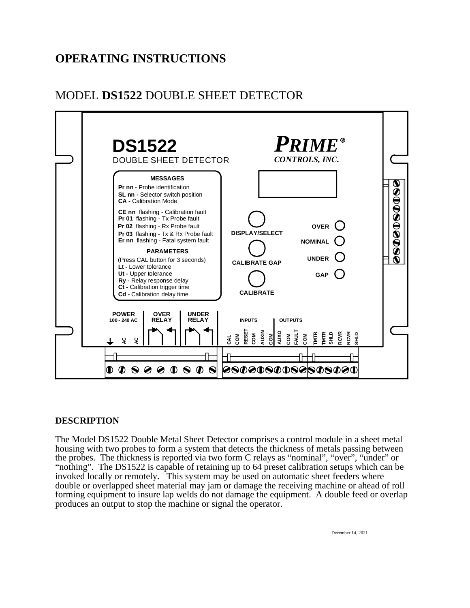# **OPERATING INSTRUCTIONS**

# MODEL **DS1522** DOUBLE SHEET DETECTOR



# **DESCRIPTION**

The Model DS1522 Double Metal Sheet Detector comprises a control module in a sheet metal housing with two probes to form a system that detects the thickness of metals passing between the probes. The thickness is reported via two form C relays as "nominal", "over", "under" or "nothing". The DS1522 is capable of retaining up to 64 preset calibration setups which can be invoked locally or remotely. This system may be used on automatic sheet feeders where double or overlapped sheet material may jam or damage the receiving machine or ahead of roll forming equipment to insure lap welds do not damage the equipment. A double feed or overlap produces an output to stop the machine or signal the operator.

December 14, 2021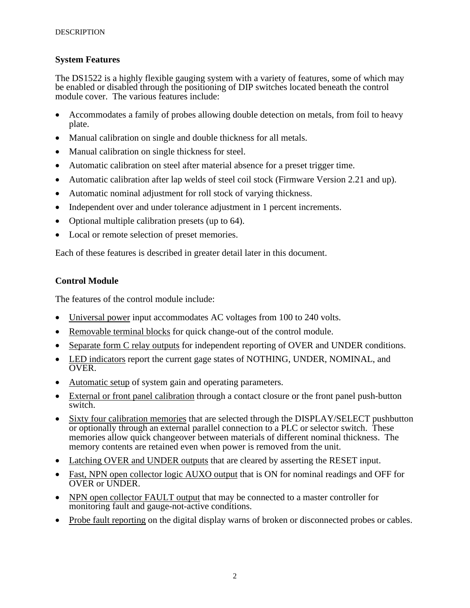## **System Features**

The DS1522 is a highly flexible gauging system with a variety of features, some of which may be enabled or disabled through the positioning of DIP switches located beneath the control module cover. The various features include:

- Accommodates a family of probes allowing double detection on metals, from foil to heavy plate.
- Manual calibration on single and double thickness for all metals.
- Manual calibration on single thickness for steel.
- Automatic calibration on steel after material absence for a preset trigger time.
- Automatic calibration after lap welds of steel coil stock (Firmware Version 2.21 and up).
- Automatic nominal adjustment for roll stock of varying thickness.
- Independent over and under tolerance adjustment in 1 percent increments.
- Optional multiple calibration presets (up to 64).
- Local or remote selection of preset memories.

Each of these features is described in greater detail later in this document.

# **Control Module**

The features of the control module include:

- Universal power input accommodates AC voltages from 100 to 240 volts.
- Removable terminal blocks for quick change-out of the control module.
- Separate form C relay outputs for independent reporting of OVER and UNDER conditions.
- LED indicators report the current gage states of NOTHING, UNDER, NOMINAL, and OVER.
- Automatic setup of system gain and operating parameters.
- External or front panel calibration through a contact closure or the front panel push-button switch.
- Sixty four calibration memories that are selected through the DISPLAY/SELECT pushbutton or optionally through an external parallel connection to a PLC or selector switch. These memories allow quick changeover between materials of different nominal thickness. The memory contents are retained even when power is removed from the unit.
- Latching OVER and UNDER outputs that are cleared by asserting the RESET input.
- Fast, NPN open collector logic AUXO output that is ON for nominal readings and OFF for OVER or UNDER.
- NPN open collector FAULT output that may be connected to a master controller for monitoring fault and gauge-not-active conditions.
- Probe fault reporting on the digital display warns of broken or disconnected probes or cables.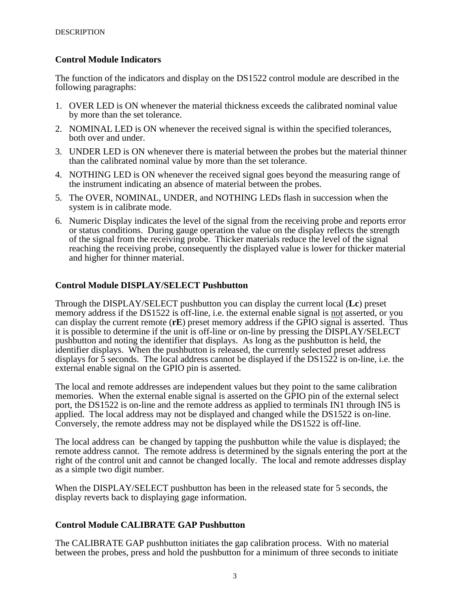# **Control Module Indicators**

The function of the indicators and display on the DS1522 control module are described in the following paragraphs:

- 1. OVER LED is ON whenever the material thickness exceeds the calibrated nominal value by more than the set tolerance.
- 2. NOMINAL LED is ON whenever the received signal is within the specified tolerances, both over and under.
- 3. UNDER LED is ON whenever there is material between the probes but the material thinner than the calibrated nominal value by more than the set tolerance.
- 4. NOTHING LED is ON whenever the received signal goes beyond the measuring range of the instrument indicating an absence of material between the probes.
- 5. The OVER, NOMINAL, UNDER, and NOTHING LEDs flash in succession when the system is in calibrate mode.
- 6. Numeric Display indicates the level of the signal from the receiving probe and reports error or status conditions. During gauge operation the value on the display reflects the strength of the signal from the receiving probe. Thicker materials reduce the level of the signal reaching the receiving probe, consequently the displayed value is lower for thicker material and higher for thinner material.

# **Control Module DISPLAY/SELECT Pushbutton**

Through the DISPLAY/SELECT pushbutton you can display the current local (**Lc**) preset memory address if the DS1522 is off-line, i.e. the external enable signal is not asserted, or you can display the current remote (**rE**) preset memory address if the GPIO signal is asserted. Thus it is possible to determine if the unit is off-line or on-line by pressing the DISPLAY/SELECT pushbutton and noting the identifier that displays. As long as the pushbutton is held, the identifier displays. When the pushbutton is released, the currently selected preset address displays for 5 seconds. The local address cannot be displayed if the DS1522 is on-line, i.e. the external enable signal on the GPIO pin is asserted.

The local and remote addresses are independent values but they point to the same calibration memories. When the external enable signal is asserted on the GPIO pin of the external select port, the DS1522 is on-line and the remote address as applied to terminals IN1 through IN5 is applied. The local address may not be displayed and changed while the DS1522 is on-line. Conversely, the remote address may not be displayed while the DS1522 is off-line.

The local address can be changed by tapping the pushbutton while the value is displayed; the remote address cannot. The remote address is determined by the signals entering the port at the right of the control unit and cannot be changed locally. The local and remote addresses display as a simple two digit number.

When the DISPLAY/SELECT pushbutton has been in the released state for 5 seconds, the display reverts back to displaying gage information.

## **Control Module CALIBRATE GAP Pushbutton**

The CALIBRATE GAP pushbutton initiates the gap calibration process. With no material between the probes, press and hold the pushbutton for a minimum of three seconds to initiate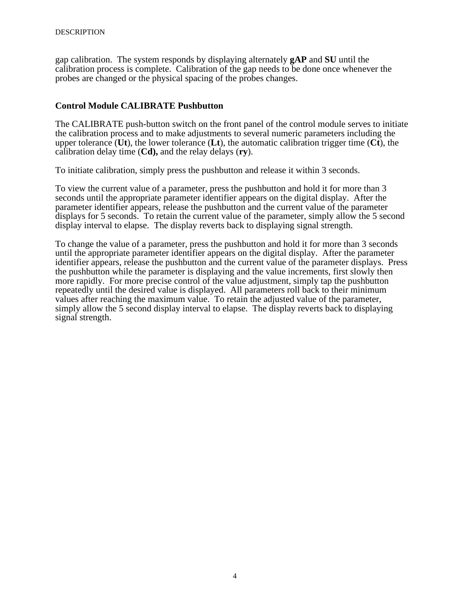gap calibration. The system responds by displaying alternately **gAP** and **SU** until the calibration process is complete. Calibration of the gap needs to be done once whenever the probes are changed or the physical spacing of the probes changes.

# **Control Module CALIBRATE Pushbutton**

The CALIBRATE push-button switch on the front panel of the control module serves to initiate the calibration process and to make adjustments to several numeric parameters including the upper tolerance (**Ut**), the lower tolerance (**Lt**), the automatic calibration trigger time (**Ct**), the calibration delay time (**Cd),** and the relay delays (**ry**).

To initiate calibration, simply press the pushbutton and release it within 3 seconds.

To view the current value of a parameter, press the pushbutton and hold it for more than 3 seconds until the appropriate parameter identifier appears on the digital display. After the parameter identifier appears, release the pushbutton and the current value of the parameter displays for 5 seconds. To retain the current value of the parameter, simply allow the 5 second display interval to elapse. The display reverts back to displaying signal strength.

To change the value of a parameter, press the pushbutton and hold it for more than 3 seconds until the appropriate parameter identifier appears on the digital display. After the parameter identifier appears, release the pushbutton and the current value of the parameter displays. Press the pushbutton while the parameter is displaying and the value increments, first slowly then more rapidly. For more precise control of the value adjustment, simply tap the pushbutton repeatedly until the desired value is displayed. All parameters roll back to their minimum values after reaching the maximum value. To retain the adjusted value of the parameter, simply allow the 5 second display interval to elapse. The display reverts back to displaying signal strength.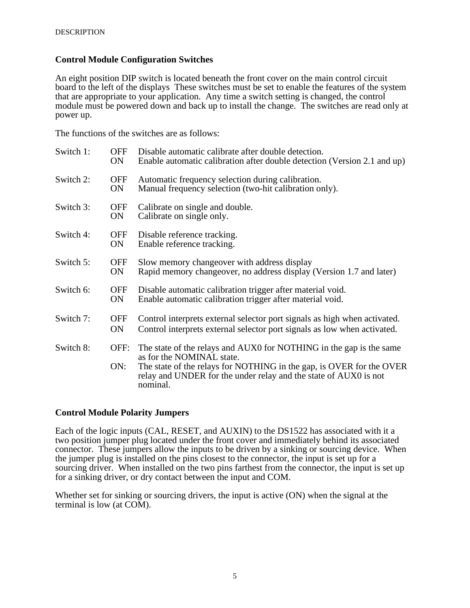## **Control Module Configuration Switches**

An eight position DIP switch is located beneath the front cover on the main control circuit board to the left of the displays These switches must be set to enable the features of the system that are appropriate to your application. Any time a switch setting is changed, the control module must be powered down and back up to install the change. The switches are read only at power up.

The functions of the switches are as follows:

| Switch 1: | <b>OFF</b><br>ON. | Disable automatic calibrate after double detection.<br>Enable automatic calibration after double detection (Version 2.1 and up)                                                                                                                          |
|-----------|-------------------|----------------------------------------------------------------------------------------------------------------------------------------------------------------------------------------------------------------------------------------------------------|
| Switch 2: | OFF<br>ON         | Automatic frequency selection during calibration.<br>Manual frequency selection (two-hit calibration only).                                                                                                                                              |
| Switch 3: | <b>OFF</b><br>ON  | Calibrate on single and double.<br>Calibrate on single only.                                                                                                                                                                                             |
| Switch 4: | OFF<br>ON         | Disable reference tracking.<br>Enable reference tracking.                                                                                                                                                                                                |
| Switch 5: | <b>OFF</b><br>ON. | Slow memory change over with address display<br>Rapid memory changeover, no address display (Version 1.7 and later)                                                                                                                                      |
| Switch 6: | <b>OFF</b><br>ON  | Disable automatic calibration trigger after material void.<br>Enable automatic calibration trigger after material void.                                                                                                                                  |
| Switch 7: | <b>OFF</b><br>ON  | Control interprets external selector port signals as high when activated.<br>Control interprets external selector port signals as low when activated.                                                                                                    |
| Switch 8: | OFF:<br>ON:       | The state of the relays and AUX0 for NOTHING in the gap is the same<br>as for the NOMINAL state.<br>The state of the relays for NOTHING in the gap, is OVER for the OVER<br>relay and UNDER for the under relay and the state of AUX0 is not<br>nominal. |

## **Control Module Polarity Jumpers**

Each of the logic inputs (CAL, RESET, and AUXIN) to the DS1522 has associated with it a two position jumper plug located under the front cover and immediately behind its associated connector. These jumpers allow the inputs to be driven by a sinking or sourcing device. When the jumper plug is installed on the pins closest to the connector, the input is set up for a sourcing driver. When installed on the two pins farthest from the connector, the input is set up for a sinking driver, or dry contact between the input and COM.

Whether set for sinking or sourcing drivers, the input is active (ON) when the signal at the terminal is low (at COM).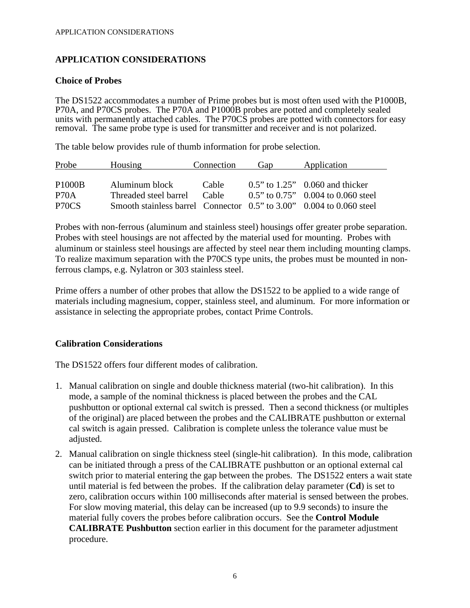# **APPLICATION CONSIDERATIONS**

# **Choice of Probes**

The DS1522 accommodates a number of Prime probes but is most often used with the P1000B, P70A, and P70CS probes. The P70A and P1000B probes are potted and completely sealed units with permanently attached cables. The P70CS probes are potted with connectors for easy removal. The same probe type is used for transmitter and receiver and is not polarized.

The table below provides rule of thumb information for probe selection.

| Probe              | Housing                                                              | Connection | Gap | Application                                  |
|--------------------|----------------------------------------------------------------------|------------|-----|----------------------------------------------|
|                    |                                                                      |            |     |                                              |
| <b>P1000B</b>      | Aluminum block                                                       | Cable      |     | $0.5$ " to $1.25$ " 0.060 and thicker        |
| P <sub>70</sub> A  | Threaded steel barrel                                                | Cable      |     | $0.5$ " to $0.75$ " $0.004$ to $0.060$ steel |
| P <sub>70</sub> CS | Smooth stainless barrel Connector 0.5" to 3.00" 0.004 to 0.060 steel |            |     |                                              |

Probes with non-ferrous (aluminum and stainless steel) housings offer greater probe separation. Probes with steel housings are not affected by the material used for mounting. Probes with aluminum or stainless steel housings are affected by steel near them including mounting clamps. To realize maximum separation with the P70CS type units, the probes must be mounted in nonferrous clamps, e.g. Nylatron or 303 stainless steel.

Prime offers a number of other probes that allow the DS1522 to be applied to a wide range of materials including magnesium, copper, stainless steel, and aluminum. For more information or assistance in selecting the appropriate probes, contact Prime Controls.

# **Calibration Considerations**

The DS1522 offers four different modes of calibration.

- 1. Manual calibration on single and double thickness material (two-hit calibration). In this mode, a sample of the nominal thickness is placed between the probes and the CAL pushbutton or optional external cal switch is pressed. Then a second thickness (or multiples of the original) are placed between the probes and the CALIBRATE pushbutton or external cal switch is again pressed. Calibration is complete unless the tolerance value must be adjusted.
- 2. Manual calibration on single thickness steel (single-hit calibration). In this mode, calibration can be initiated through a press of the CALIBRATE pushbutton or an optional external cal switch prior to material entering the gap between the probes. The DS1522 enters a wait state until material is fed between the probes. If the calibration delay parameter (**Cd**) is set to zero, calibration occurs within 100 milliseconds after material is sensed between the probes. For slow moving material, this delay can be increased (up to 9.9 seconds) to insure the material fully covers the probes before calibration occurs. See the **Control Module CALIBRATE Pushbutton** section earlier in this document for the parameter adjustment procedure.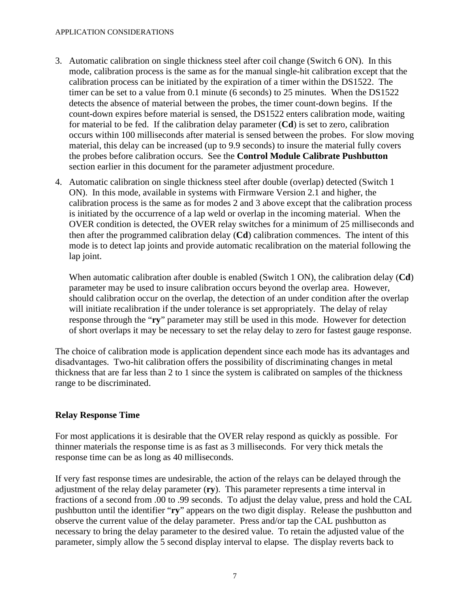#### APPLICATION CONSIDERATIONS

- 3. Automatic calibration on single thickness steel after coil change (Switch 6 ON). In this mode, calibration process is the same as for the manual single-hit calibration except that the calibration process can be initiated by the expiration of a timer within the DS1522. The timer can be set to a value from 0.1 minute (6 seconds) to 25 minutes. When the DS1522 detects the absence of material between the probes, the timer count-down begins. If the count-down expires before material is sensed, the DS1522 enters calibration mode, waiting for material to be fed. If the calibration delay parameter (**Cd**) is set to zero, calibration occurs within 100 milliseconds after material is sensed between the probes. For slow moving material, this delay can be increased (up to 9.9 seconds) to insure the material fully covers the probes before calibration occurs. See the **Control Module Calibrate Pushbutton** section earlier in this document for the parameter adjustment procedure.
- 4. Automatic calibration on single thickness steel after double (overlap) detected (Switch 1 ON). In this mode, available in systems with Firmware Version 2.1 and higher, the calibration process is the same as for modes 2 and 3 above except that the calibration process is initiated by the occurrence of a lap weld or overlap in the incoming material. When the OVER condition is detected, the OVER relay switches for a minimum of 25 milliseconds and then after the programmed calibration delay (**Cd**) calibration commences. The intent of this mode is to detect lap joints and provide automatic recalibration on the material following the lap joint.

When automatic calibration after double is enabled (Switch 1 ON), the calibration delay (**Cd**) parameter may be used to insure calibration occurs beyond the overlap area. However, should calibration occur on the overlap, the detection of an under condition after the overlap will initiate recalibration if the under tolerance is set appropriately. The delay of relay response through the "**ry**" parameter may still be used in this mode. However for detection of short overlaps it may be necessary to set the relay delay to zero for fastest gauge response.

The choice of calibration mode is application dependent since each mode has its advantages and disadvantages. Two-hit calibration offers the possibility of discriminating changes in metal thickness that are far less than 2 to 1 since the system is calibrated on samples of the thickness range to be discriminated.

# **Relay Response Time**

For most applications it is desirable that the OVER relay respond as quickly as possible. For thinner materials the response time is as fast as 3 milliseconds. For very thick metals the response time can be as long as 40 milliseconds.

If very fast response times are undesirable, the action of the relays can be delayed through the adjustment of the relay delay parameter (**ry**). This parameter represents a time interval in fractions of a second from .00 to .99 seconds. To adjust the delay value, press and hold the CAL pushbutton until the identifier "**ry**" appears on the two digit display. Release the pushbutton and observe the current value of the delay parameter. Press and/or tap the CAL pushbutton as necessary to bring the delay parameter to the desired value. To retain the adjusted value of the parameter, simply allow the 5 second display interval to elapse. The display reverts back to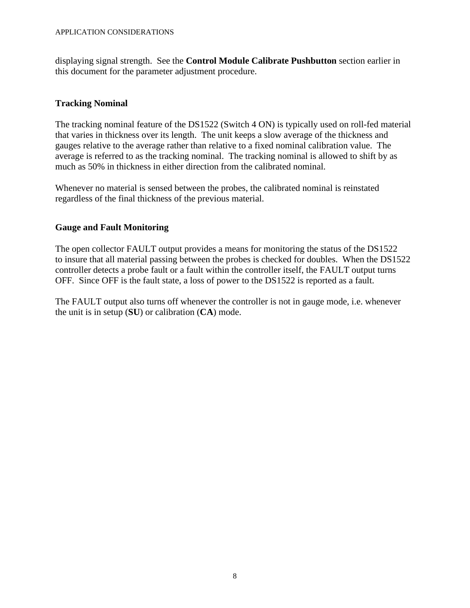displaying signal strength. See the **Control Module Calibrate Pushbutton** section earlier in this document for the parameter adjustment procedure.

# **Tracking Nominal**

The tracking nominal feature of the DS1522 (Switch 4 ON) is typically used on roll-fed material that varies in thickness over its length. The unit keeps a slow average of the thickness and gauges relative to the average rather than relative to a fixed nominal calibration value. The average is referred to as the tracking nominal. The tracking nominal is allowed to shift by as much as 50% in thickness in either direction from the calibrated nominal.

Whenever no material is sensed between the probes, the calibrated nominal is reinstated regardless of the final thickness of the previous material.

# **Gauge and Fault Monitoring**

The open collector FAULT output provides a means for monitoring the status of the DS1522 to insure that all material passing between the probes is checked for doubles. When the DS1522 controller detects a probe fault or a fault within the controller itself, the FAULT output turns OFF. Since OFF is the fault state, a loss of power to the DS1522 is reported as a fault.

The FAULT output also turns off whenever the controller is not in gauge mode, i.e. whenever the unit is in setup (**SU**) or calibration (**CA**) mode.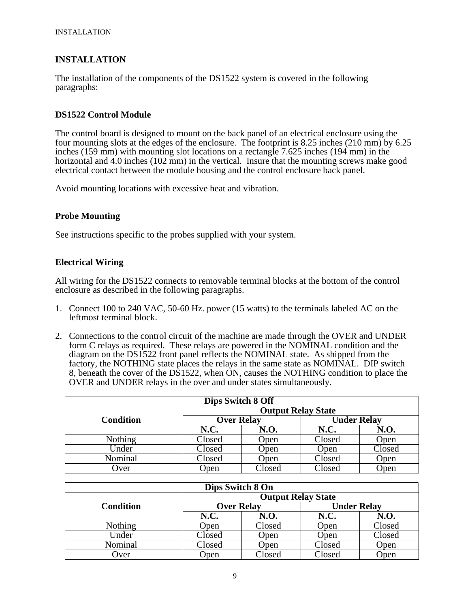# **INSTALLATION**

The installation of the components of the DS1522 system is covered in the following paragraphs:

## **DS1522 Control Module**

The control board is designed to mount on the back panel of an electrical enclosure using the four mounting slots at the edges of the enclosure. The footprint is 8.25 inches (210 mm) by 6.25 inches (159 mm) with mounting slot locations on a rectangle 7.625 inches (194 mm) in the horizontal and 4.0 inches (102 mm) in the vertical. Insure that the mounting screws make good electrical contact between the module housing and the control enclosure back panel.

Avoid mounting locations with excessive heat and vibration.

## **Probe Mounting**

See instructions specific to the probes supplied with your system.

## **Electrical Wiring**

All wiring for the DS1522 connects to removable terminal blocks at the bottom of the control enclosure as described in the following paragraphs.

- 1. Connect 100 to 240 VAC, 50-60 Hz. power (15 watts) to the terminals labeled AC on the leftmost terminal block.
- 2. Connections to the control circuit of the machine are made through the OVER and UNDER form C relays as required. These relays are powered in the NOMINAL condition and the diagram on the DS1522 front panel reflects the NOMINAL state. As shipped from the factory, the NOTHING state places the relays in the same state as NOMINAL. DIP switch 8, beneath the cover of the DS1522, when ON, causes the NOTHING condition to place the OVER and UNDER relays in the over and under states simultaneously.

| <b>Dips Switch 8 Off</b> |                           |                   |                    |        |  |  |
|--------------------------|---------------------------|-------------------|--------------------|--------|--|--|
|                          | <b>Output Relay State</b> |                   |                    |        |  |  |
| <b>Condition</b>         |                           | <b>Over Relay</b> | <b>Under Relay</b> |        |  |  |
|                          | <b>N.C.</b>               | N.O.              | N.C.               | N.O.   |  |  |
| Nothing                  | Closed                    | Open              | Closed             | Open   |  |  |
| Under                    | Closed                    | Open              | Open               | Closed |  |  |
| Nominal                  | Closed                    | Open              | Closed             | Open   |  |  |
| Over                     | Open                      | Closed            | Closed             | Open   |  |  |

| Dips Switch 8 On |                           |                   |                    |        |  |  |
|------------------|---------------------------|-------------------|--------------------|--------|--|--|
|                  | <b>Output Relay State</b> |                   |                    |        |  |  |
| <b>Condition</b> |                           | <b>Over Relay</b> | <b>Under Relay</b> |        |  |  |
|                  | N.C.                      | N.O.              | <b>N.C.</b>        | N.O.   |  |  |
| <b>Nothing</b>   | Open                      | Closed            | Open               | Closed |  |  |
| Under            | Closed                    | Open              | Open               | Closed |  |  |
| Nominal          | Closed                    | Open              | Closed             | Open   |  |  |
| Over             | Open                      | Closed            | Closed             | Open   |  |  |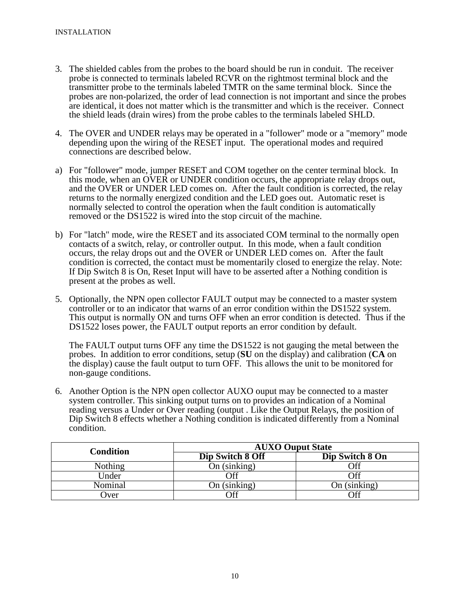- 3. The shielded cables from the probes to the board should be run in conduit. The receiver probe is connected to terminals labeled RCVR on the rightmost terminal block and the transmitter probe to the terminals labeled TMTR on the same terminal block. Since the probes are non-polarized, the order of lead connection is not important and since the probes are identical, it does not matter which is the transmitter and which is the receiver. Connect the shield leads (drain wires) from the probe cables to the terminals labeled SHLD.
- 4. The OVER and UNDER relays may be operated in a "follower" mode or a "memory" mode depending upon the wiring of the RESET input. The operational modes and required connections are described below.
- a) For "follower" mode, jumper RESET and COM together on the center terminal block. In this mode, when an OVER or UNDER condition occurs, the appropriate relay drops out, and the OVER or UNDER LED comes on. After the fault condition is corrected, the relay returns to the normally energized condition and the LED goes out. Automatic reset is normally selected to control the operation when the fault condition is automatically removed or the DS1522 is wired into the stop circuit of the machine.
- b) For "latch" mode, wire the RESET and its associated COM terminal to the normally open contacts of a switch, relay, or controller output. In this mode, when a fault condition occurs, the relay drops out and the OVER or UNDER LED comes on. After the fault condition is corrected, the contact must be momentarily closed to energize the relay. Note: If Dip Switch 8 is On, Reset Input will have to be asserted after a Nothing condition is present at the probes as well.
- 5. Optionally, the NPN open collector FAULT output may be connected to a master system controller or to an indicator that warns of an error condition within the DS1522 system. This output is normally ON and turns OFF when an error condition is detected. Thus if the DS1522 loses power, the FAULT output reports an error condition by default.

The FAULT output turns OFF any time the DS1522 is not gauging the metal between the probes. In addition to error conditions, setup (**SU** on the display) and calibration (**CA** on the display) cause the fault output to turn OFF. This allows the unit to be monitored for non-gauge conditions.

6. Another Option is the NPN open collector AUXO ouput may be connected to a master system controller. This sinking output turns on to provides an indication of a Nominal reading versus a Under or Over reading (output . Like the Output Relays, the position of Dip Switch 8 effects whether a Nothing condition is indicated differently from a Nominal condition.

| <b>Condition</b> | <b>AUXO Ouput State</b> |                 |  |  |
|------------------|-------------------------|-----------------|--|--|
|                  | Dip Switch 8 Off        | Dip Switch 8 On |  |  |
| Nothing          | On (sinking)            | Off             |  |  |
| Under            | Off                     | Эff             |  |  |
| Nominal          | On (sinking)            | On $(sinking)$  |  |  |
| <b>J</b> ver     | Off                     | Эff             |  |  |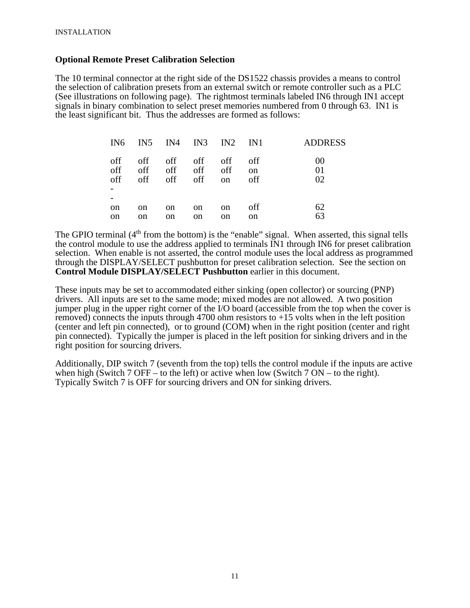#### **Optional Remote Preset Calibration Selection**

The 10 terminal connector at the right side of the DS1522 chassis provides a means to control the selection of calibration presets from an external switch or remote controller such as a PLC (See illustrations on following page). The rightmost terminals labeled IN6 through IN1 accept signals in binary combination to select preset memories numbered from 0 through 63. IN1 is the least significant bit. Thus the addresses are formed as follows:

| IN6                 |            |                               |                     | IN5 IN4 IN3 IN2 IN1            |                             | <b>ADDRESS</b> |
|---------------------|------------|-------------------------------|---------------------|--------------------------------|-----------------------------|----------------|
| off<br>off<br>off   | off<br>off | off off off<br>off<br>off off | off                 | off<br>off<br><sub>on</sub>    | off<br><sub>on</sub><br>off | 00<br>01<br>02 |
| <sub>on</sub><br>on | on<br>on   | <sub>on</sub><br>on           | <sub>on</sub><br>on | <sub>on</sub><br><sub>on</sub> | off<br>on                   | 62<br>63       |

The GPIO terminal  $(4<sup>th</sup>$  from the bottom) is the "enable" signal. When asserted, this signal tells the control module to use the address applied to terminals IN1 through IN6 for preset calibration selection. When enable is not asserted, the control module uses the local address as programmed through the DISPLAY/SELECT pushbutton for preset calibration selection. See the section on **Control Module DISPLAY/SELECT Pushbutton** earlier in this document.

These inputs may be set to accommodated either sinking (open collector) or sourcing (PNP) drivers. All inputs are set to the same mode; mixed modes are not allowed. A two position jumper plug in the upper right corner of the I/O board (accessible from the top when the cover is removed) connects the inputs through 4700 ohm resistors to  $+15$  volts when in the left position (center and left pin connected), or to ground (COM) when in the right position (center and right pin connected). Typically the jumper is placed in the left position for sinking drivers and in the right position for sourcing drivers.

Additionally, DIP switch 7 (seventh from the top) tells the control module if the inputs are active when high (Switch 7 OFF – to the left) or active when low (Switch 7 ON – to the right). Typically Switch 7 is OFF for sourcing drivers and ON for sinking drivers.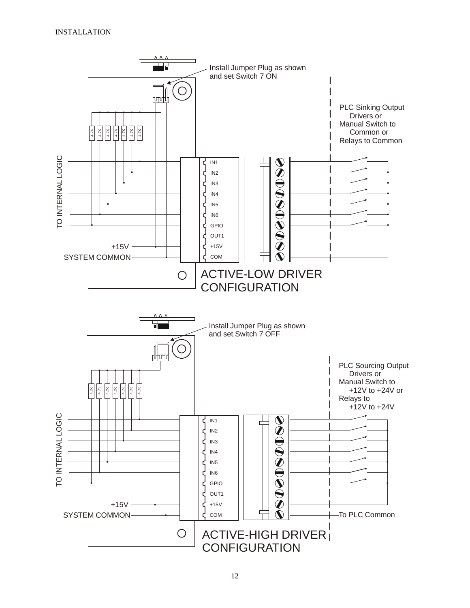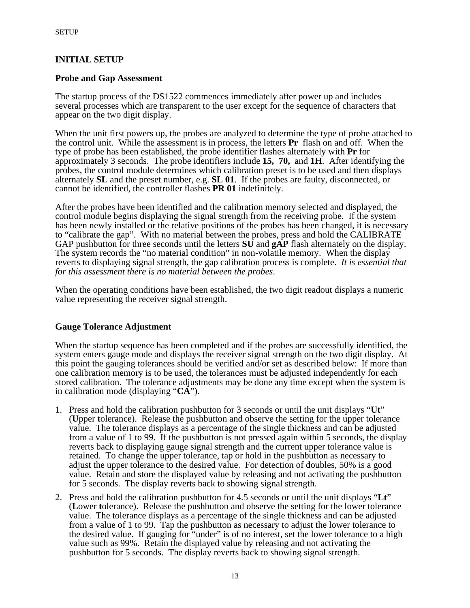# **INITIAL SETUP**

#### **Probe and Gap Assessment**

The startup process of the DS1522 commences immediately after power up and includes several processes which are transparent to the user except for the sequence of characters that appear on the two digit display.

When the unit first powers up, the probes are analyzed to determine the type of probe attached to the control unit. While the assessment is in process, the letters **Pr** flash on and off. When the type of probe has been established, the probe identifier flashes alternately with **Pr** for approximately 3 seconds. The probe identifiers include **15, 70,** and **1H**. After identifying the probes, the control module determines which calibration preset is to be used and then displays alternately **SL** and the preset number, e.g. **SL 01**. If the probes are faulty, disconnected, or cannot be identified, the controller flashes **PR 01** indefinitely.

After the probes have been identified and the calibration memory selected and displayed, the control module begins displaying the signal strength from the receiving probe. If the system has been newly installed or the relative positions of the probes has been changed, it is necessary to "calibrate the gap". With no material between the probes, press and hold the CALIBRATE GAP pushbutton for three seconds until the letters **SU** and **gAP** flash alternately on the display. The system records the "no material condition" in non-volatile memory. When the display reverts to displaying signal strength, the gap calibration process is complete. *It is essential that for this assessment there is no material between the probes*.

When the operating conditions have been established, the two digit readout displays a numeric value representing the receiver signal strength.

## **Gauge Tolerance Adjustment**

When the startup sequence has been completed and if the probes are successfully identified, the system enters gauge mode and displays the receiver signal strength on the two digit display. At this point the gauging tolerances should be verified and/or set as described below: If more than one calibration memory is to be used, the tolerances must be adjusted independently for each stored calibration. The tolerance adjustments may be done any time except when the system is in calibration mode (displaying "**CA**").

- 1. Press and hold the calibration pushbutton for 3 seconds or until the unit displays "**Ut**" (**U**pper **t**olerance). Release the pushbutton and observe the setting for the upper tolerance value. The tolerance displays as a percentage of the single thickness and can be adjusted from a value of 1 to 99. If the pushbutton is not pressed again within 5 seconds, the display reverts back to displaying gauge signal strength and the current upper tolerance value is retained. To change the upper tolerance, tap or hold in the pushbutton as necessary to adjust the upper tolerance to the desired value. For detection of doubles, 50% is a good value. Retain and store the displayed value by releasing and not activating the pushbutton for 5 seconds. The display reverts back to showing signal strength.
- 2. Press and hold the calibration pushbutton for 4.5 seconds or until the unit displays "**Lt**" (**L**ower **t**olerance). Release the pushbutton and observe the setting for the lower tolerance value. The tolerance displays as a percentage of the single thickness and can be adjusted from a value of 1 to 99. Tap the pushbutton as necessary to adjust the lower tolerance to the desired value. If gauging for "under" is of no interest, set the lower tolerance to a high value such as 99%. Retain the displayed value by releasing and not activating the pushbutton for 5 seconds. The display reverts back to showing signal strength.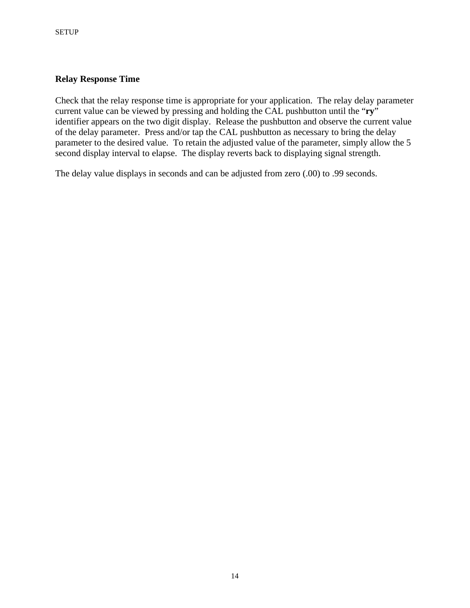## **Relay Response Time**

Check that the relay response time is appropriate for your application. The relay delay parameter current value can be viewed by pressing and holding the CAL pushbutton until the "**ry**" identifier appears on the two digit display. Release the pushbutton and observe the current value of the delay parameter. Press and/or tap the CAL pushbutton as necessary to bring the delay parameter to the desired value. To retain the adjusted value of the parameter, simply allow the 5 second display interval to elapse. The display reverts back to displaying signal strength.

The delay value displays in seconds and can be adjusted from zero (.00) to .99 seconds.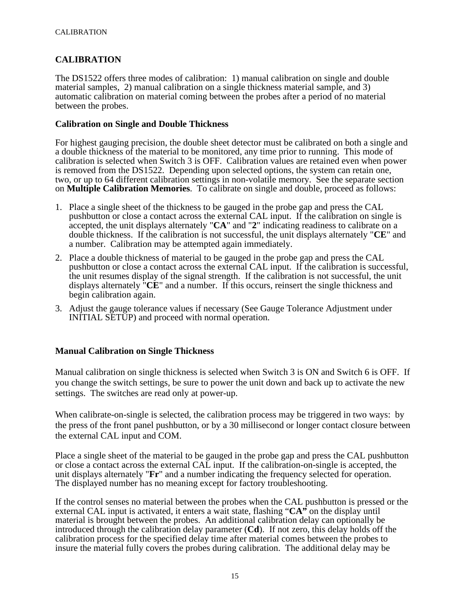# **CALIBRATION**

The DS1522 offers three modes of calibration: 1) manual calibration on single and double material samples, 2) manual calibration on a single thickness material sample, and 3) automatic calibration on material coming between the probes after a period of no material between the probes.

#### **Calibration on Single and Double Thickness**

For highest gauging precision, the double sheet detector must be calibrated on both a single and a double thickness of the material to be monitored, any time prior to running. This mode of calibration is selected when Switch 3 is OFF. Calibration values are retained even when power is removed from the DS1522. Depending upon selected options, the system can retain one, two, or up to 64 different calibration settings in non-volatile memory. See the separate section on **Multiple Calibration Memories**. To calibrate on single and double, proceed as follows:

- 1. Place a single sheet of the thickness to be gauged in the probe gap and press the CAL pushbutton or close a contact across the external CAL input. If the calibration on single is accepted, the unit displays alternately "**CA**" and "**2**" indicating readiness to calibrate on a double thickness. If the calibration is not successful, the unit displays alternately "**CE**" and a number. Calibration may be attempted again immediately.
- 2. Place a double thickness of material to be gauged in the probe gap and press the CAL pushbutton or close a contact across the external CAL input. If the calibration is successful, the unit resumes display of the signal strength. If the calibration is not successful, the unit displays alternately "**CE**" and a number. If this occurs, reinsert the single thickness and begin calibration again.
- 3. Adjust the gauge tolerance values if necessary (See Gauge Tolerance Adjustment under INITIAL SETUP) and proceed with normal operation.

## **Manual Calibration on Single Thickness**

Manual calibration on single thickness is selected when Switch 3 is ON and Switch 6 is OFF. If you change the switch settings, be sure to power the unit down and back up to activate the new settings. The switches are read only at power-up.

When calibrate-on-single is selected, the calibration process may be triggered in two ways: by the press of the front panel pushbutton, or by a 30 millisecond or longer contact closure between the external CAL input and COM.

Place a single sheet of the material to be gauged in the probe gap and press the CAL pushbutton or close a contact across the external CAL input. If the calibration-on-single is accepted, the unit displays alternately "**Fr**" and a number indicating the frequency selected for operation. The displayed number has no meaning except for factory troubleshooting.

If the control senses no material between the probes when the CAL pushbutton is pressed or the external CAL input is activated, it enters a wait state, flashing "**CA"** on the display until material is brought between the probes. An additional calibration delay can optionally be introduced through the calibration delay parameter (**Cd**). If not zero, this delay holds off the calibration process for the specified delay time after material comes between the probes to insure the material fully covers the probes during calibration. The additional delay may be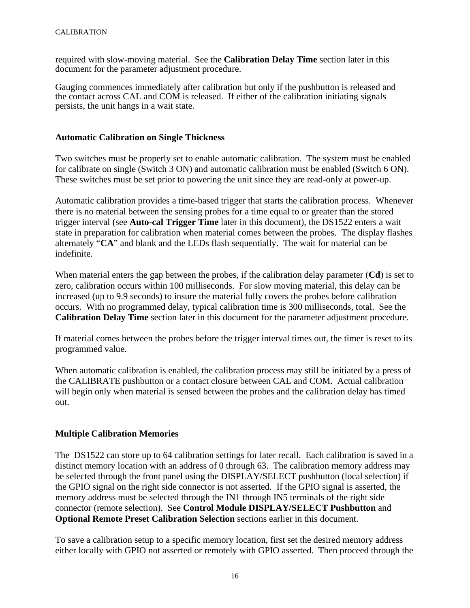required with slow-moving material. See the **Calibration Delay Time** section later in this document for the parameter adjustment procedure.

Gauging commences immediately after calibration but only if the pushbutton is released and the contact across CAL and COM is released. If either of the calibration initiating signals persists, the unit hangs in a wait state.

#### **Automatic Calibration on Single Thickness**

Two switches must be properly set to enable automatic calibration. The system must be enabled for calibrate on single (Switch 3 ON) and automatic calibration must be enabled (Switch 6 ON). These switches must be set prior to powering the unit since they are read-only at power-up.

Automatic calibration provides a time-based trigger that starts the calibration process. Whenever there is no material between the sensing probes for a time equal to or greater than the stored trigger interval (see **Auto-cal Trigger Time** later in this document), the DS1522 enters a wait state in preparation for calibration when material comes between the probes. The display flashes alternately "**CA**" and blank and the LEDs flash sequentially. The wait for material can be indefinite.

When material enters the gap between the probes, if the calibration delay parameter (**Cd**) is set to zero, calibration occurs within 100 milliseconds. For slow moving material, this delay can be increased (up to 9.9 seconds) to insure the material fully covers the probes before calibration occurs. With no programmed delay, typical calibration time is 300 milliseconds, total. See the **Calibration Delay Time** section later in this document for the parameter adjustment procedure.

If material comes between the probes before the trigger interval times out, the timer is reset to its programmed value.

When automatic calibration is enabled, the calibration process may still be initiated by a press of the CALIBRATE pushbutton or a contact closure between CAL and COM. Actual calibration will begin only when material is sensed between the probes and the calibration delay has timed out.

## **Multiple Calibration Memories**

The DS1522 can store up to 64 calibration settings for later recall. Each calibration is saved in a distinct memory location with an address of 0 through 63. The calibration memory address may be selected through the front panel using the DISPLAY/SELECT pushbutton (local selection) if the GPIO signal on the right side connector is not asserted. If the GPIO signal is asserted, the memory address must be selected through the IN1 through IN5 terminals of the right side connector (remote selection). See **Control Module DISPLAY/SELECT Pushbutton** and **Optional Remote Preset Calibration Selection** sections earlier in this document.

To save a calibration setup to a specific memory location, first set the desired memory address either locally with GPIO not asserted or remotely with GPIO asserted. Then proceed through the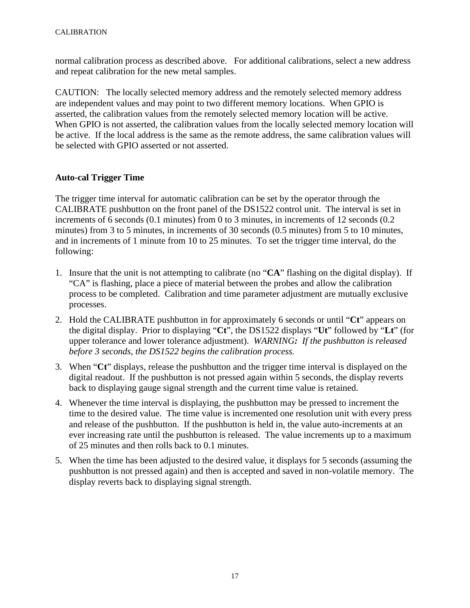normal calibration process as described above. For additional calibrations, select a new address and repeat calibration for the new metal samples.

CAUTION: The locally selected memory address and the remotely selected memory address are independent values and may point to two different memory locations. When GPIO is asserted, the calibration values from the remotely selected memory location will be active. When GPIO is not asserted, the calibration values from the locally selected memory location will be active. If the local address is the same as the remote address, the same calibration values will be selected with GPIO asserted or not asserted.

# **Auto-cal Trigger Time**

The trigger time interval for automatic calibration can be set by the operator through the CALIBRATE pushbutton on the front panel of the DS1522 control unit. The interval is set in increments of 6 seconds (0.1 minutes) from 0 to 3 minutes, in increments of 12 seconds (0.2 minutes) from 3 to 5 minutes, in increments of 30 seconds (0.5 minutes) from 5 to 10 minutes, and in increments of 1 minute from 10 to 25 minutes. To set the trigger time interval, do the following:

- 1. Insure that the unit is not attempting to calibrate (no "**CA**" flashing on the digital display). If "CA" is flashing, place a piece of material between the probes and allow the calibration process to be completed. Calibration and time parameter adjustment are mutually exclusive processes.
- 2. Hold the CALIBRATE pushbutton in for approximately 6 seconds or until "**Ct**" appears on the digital display. Prior to displaying "**Ct**", the DS1522 displays "**Ut**" followed by "**Lt**" (for upper tolerance and lower tolerance adjustment). *WARNING: If the pushbutton is released before 3 seconds, the DS1522 begins the calibration process.*
- 3. When "**Ct**" displays, release the pushbutton and the trigger time interval is displayed on the digital readout. If the pushbutton is not pressed again within 5 seconds, the display reverts back to displaying gauge signal strength and the current time value is retained.
- 4. Whenever the time interval is displaying, the pushbutton may be pressed to increment the time to the desired value. The time value is incremented one resolution unit with every press and release of the pushbutton. If the pushbutton is held in, the value auto-increments at an ever increasing rate until the pushbutton is released. The value increments up to a maximum of 25 minutes and then rolls back to 0.1 minutes.
- 5. When the time has been adjusted to the desired value, it displays for 5 seconds (assuming the pushbutton is not pressed again) and then is accepted and saved in non-volatile memory. The display reverts back to displaying signal strength.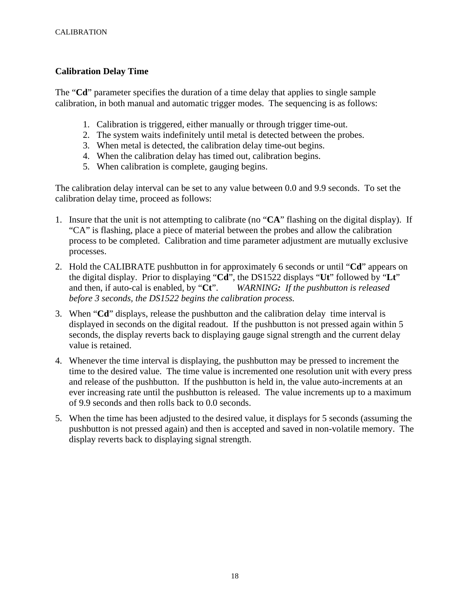## **Calibration Delay Time**

The "**Cd**" parameter specifies the duration of a time delay that applies to single sample calibration, in both manual and automatic trigger modes. The sequencing is as follows:

- 1. Calibration is triggered, either manually or through trigger time-out.
- 2. The system waits indefinitely until metal is detected between the probes.
- 3. When metal is detected, the calibration delay time-out begins.
- 4. When the calibration delay has timed out, calibration begins.
- 5. When calibration is complete, gauging begins.

The calibration delay interval can be set to any value between 0.0 and 9.9 seconds. To set the calibration delay time, proceed as follows:

- 1. Insure that the unit is not attempting to calibrate (no "**CA**" flashing on the digital display). If "CA" is flashing, place a piece of material between the probes and allow the calibration process to be completed. Calibration and time parameter adjustment are mutually exclusive processes.
- 2. Hold the CALIBRATE pushbutton in for approximately 6 seconds or until "**Cd**" appears on the digital display. Prior to displaying "**Cd**", the DS1522 displays "**Ut**" followed by "**Lt**" and then, if auto-cal is enabled, by "**Ct**". *WARNING: If the pushbutton is released before 3 seconds, the DS1522 begins the calibration process.*
- 3. When "**Cd**" displays, release the pushbutton and the calibration delay time interval is displayed in seconds on the digital readout. If the pushbutton is not pressed again within 5 seconds, the display reverts back to displaying gauge signal strength and the current delay value is retained.
- 4. Whenever the time interval is displaying, the pushbutton may be pressed to increment the time to the desired value. The time value is incremented one resolution unit with every press and release of the pushbutton. If the pushbutton is held in, the value auto-increments at an ever increasing rate until the pushbutton is released. The value increments up to a maximum of 9.9 seconds and then rolls back to 0.0 seconds.
- 5. When the time has been adjusted to the desired value, it displays for 5 seconds (assuming the pushbutton is not pressed again) and then is accepted and saved in non-volatile memory. The display reverts back to displaying signal strength.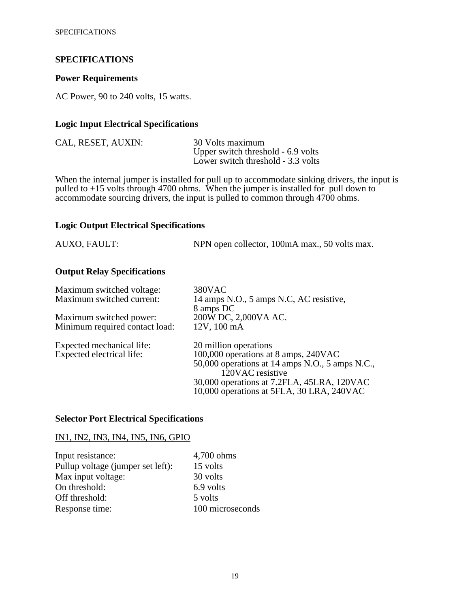#### **SPECIFICATIONS**

#### **Power Requirements**

AC Power, 90 to 240 volts, 15 watts.

#### **Logic Input Electrical Specifications**

| CAL, RESET, AUXIN: | 30 Volts maximum                   |
|--------------------|------------------------------------|
|                    | Upper switch threshold - 6.9 volts |
|                    | Lower switch threshold - 3.3 volts |

When the internal jumper is installed for pull up to accommodate sinking drivers, the input is pulled to +15 volts through 4700 ohms. When the jumper is installed for pull down to accommodate sourcing drivers, the input is pulled to common through 4700 ohms.

#### **Logic Output Electrical Specifications**

| AUXO, FAULT: | NPN open collector, 100mA max., 50 volts max. |
|--------------|-----------------------------------------------|
|--------------|-----------------------------------------------|

# **Output Relay Specifications**

| 380VAC                                                              |
|---------------------------------------------------------------------|
| 14 amps N.O., 5 amps N.C, AC resistive,                             |
| 8 amps DC                                                           |
| 200W DC, 2,000VA AC.                                                |
| 12V, 100 mA                                                         |
| 20 million operations                                               |
| 100,000 operations at 8 amps, 240VAC                                |
| 50,000 operations at 14 amps N.O., 5 amps N.C.,<br>120VAC resistive |
|                                                                     |
| 10,000 operations at 5FLA, 30 LRA, 240VAC                           |
| 30,000 operations at 7.2FLA, 45LRA, 120VAC                          |
|                                                                     |

#### **Selector Port Electrical Specifications**

# IN1, IN2, IN3, IN4, IN5, IN6, GPIO

| Input resistance:                 | 4,700 ohms       |
|-----------------------------------|------------------|
| Pullup voltage (jumper set left): | 15 volts         |
| Max input voltage:                | 30 volts         |
| On threshold:                     | 6.9 volts        |
| Off threshold:                    | 5 volts          |
| Response time:                    | 100 microseconds |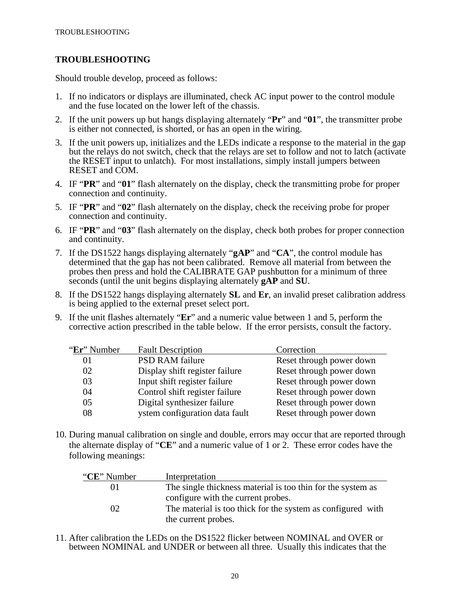# **TROUBLESHOOTING**

Should trouble develop, proceed as follows:

- 1. If no indicators or displays are illuminated, check AC input power to the control module and the fuse located on the lower left of the chassis.
- 2. If the unit powers up but hangs displaying alternately "**Pr**" and "**01**", the transmitter probe is either not connected, is shorted, or has an open in the wiring.
- 3. If the unit powers up, initializes and the LEDs indicate a response to the material in the gap but the relays do not switch, check that the relays are set to follow and not to latch (activate the RESET input to unlatch). For most installations, simply install jumpers between RESET and COM.
- 4. IF "**PR**" and "**01**" flash alternately on the display, check the transmitting probe for proper connection and continuity.
- 5. IF "**PR**" and "**02**" flash alternately on the display, check the receiving probe for proper connection and continuity.
- 6. IF "**PR**" and "**03**" flash alternately on the display, check both probes for proper connection and continuity.
- 7. If the DS1522 hangs displaying alternately "**gAP**" and "**CA**", the control module has determined that the gap has not been calibrated. Remove all material from between the probes then press and hold the CALIBRATE GAP pushbutton for a minimum of three seconds (until the unit begins displaying alternately **gAP** and **SU**.
- 8. If the DS1522 hangs displaying alternately **SL** and **Er**, an invalid preset calibration address is being applied to the external preset select port.
- 9. If the unit flashes alternately "**Er**" and a numeric value between 1 and 5, perform the corrective action prescribed in the table below. If the error persists, consult the factory.

| "Er" Number | <b>Fault Description</b>       | Correction               |
|-------------|--------------------------------|--------------------------|
| 01          | <b>PSD RAM failure</b>         | Reset through power down |
| 02          | Display shift register failure | Reset through power down |
| 03          | Input shift register failure   | Reset through power down |
| 04          | Control shift register failure | Reset through power down |
| 05          | Digital synthesizer failure    | Reset through power down |
| 08          | ystem configuration data fault | Reset through power down |

10. During manual calibration on single and double, errors may occur that are reported through the alternate display of "**CE**" and a numeric value of 1 or 2. These error codes have the following meanings:

| "CE" Number | Interpretation                                              |
|-------------|-------------------------------------------------------------|
| OT.         | The single thickness material is too thin for the system as |
|             | configure with the current probes.                          |
| $\Omega$    | The material is too thick for the system as configured with |
|             | the current probes.                                         |

11. After calibration the LEDs on the DS1522 flicker between NOMINAL and OVER or between NOMINAL and UNDER or between all three. Usually this indicates that the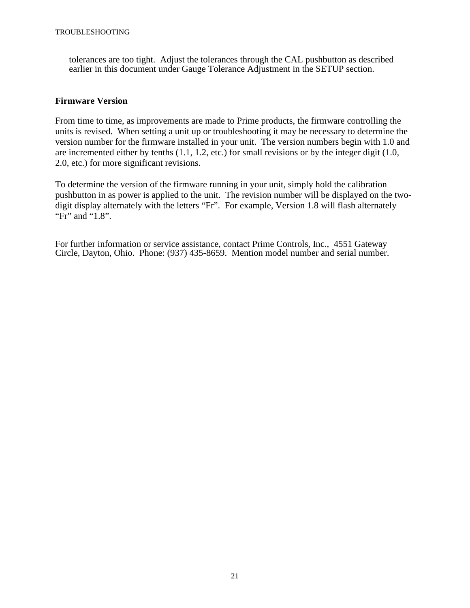tolerances are too tight. Adjust the tolerances through the CAL pushbutton as described earlier in this document under Gauge Tolerance Adjustment in the SETUP section.

# **Firmware Version**

From time to time, as improvements are made to Prime products, the firmware controlling the units is revised. When setting a unit up or troubleshooting it may be necessary to determine the version number for the firmware installed in your unit. The version numbers begin with 1.0 and are incremented either by tenths (1.1, 1.2, etc.) for small revisions or by the integer digit (1.0, 2.0, etc.) for more significant revisions.

To determine the version of the firmware running in your unit, simply hold the calibration pushbutton in as power is applied to the unit. The revision number will be displayed on the twodigit display alternately with the letters "Fr". For example, Version 1.8 will flash alternately "Fr" and "1.8".

For further information or service assistance, contact Prime Controls, Inc., 4551 Gateway Circle, Dayton, Ohio. Phone: (937) 435-8659. Mention model number and serial number.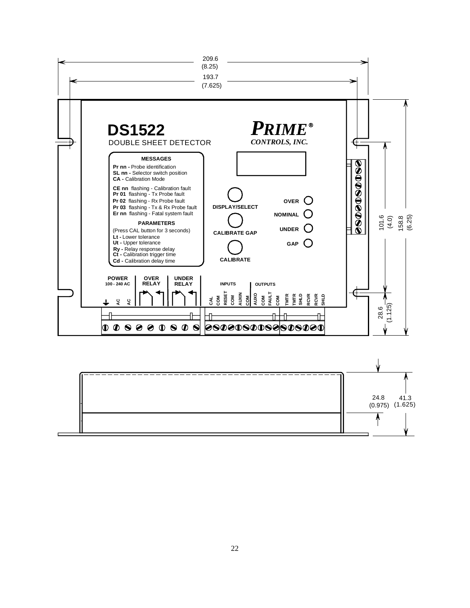

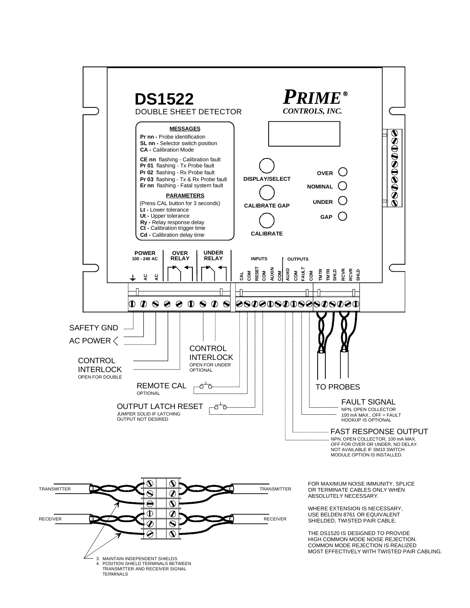